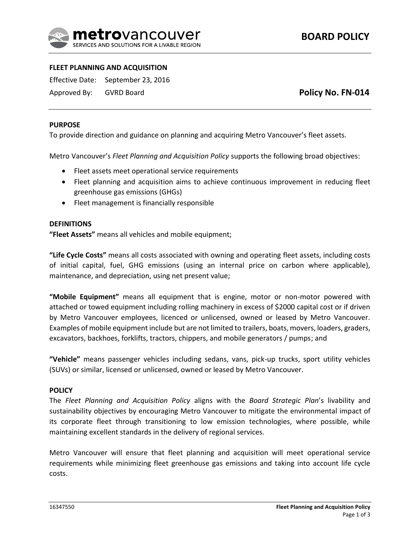

### **FLEET PLANNING AND ACQUISITION**

Effective Date: September 23, 2016

Approved By: GVRD Board

## **Policy No. FN-014**

### **PURPOSE**

To provide direction and guidance on planning and acquiring Metro Vancouver's fleet assets.

Metro Vancouver's *Fleet Planning and Acquisition Policy* supports the following broad objectives:

- Fleet assets meet operational service requirements
- Fleet planning and acquisition aims to achieve continuous improvement in reducing fleet greenhouse gas emissions (GHGs)
- Fleet management is financially responsible

#### **DEFINITIONS**

**"Fleet Assets"** means all vehicles and mobile equipment;

**"Life Cycle Costs"** means all costs associated with owning and operating fleet assets, including costs of initial capital, fuel, GHG emissions (using an internal price on carbon where applicable), maintenance, and depreciation, using net present value;

**"Mobile Equipment"** means all equipment that is engine, motor or non-motor powered with attached or towed equipment including rolling machinery in excess of \$2000 capital cost or if driven by Metro Vancouver employees, licenced or unlicensed, owned or leased by Metro Vancouver. Examples of mobile equipment include but are not limited to trailers, boats, movers, loaders, graders, excavators, backhoes, forklifts, tractors, chippers, and mobile generators / pumps; and

**"Vehicle"** means passenger vehicles including sedans, vans, pick-up trucks, sport utility vehicles (SUVs) or similar, licensed or unlicensed, owned or leased by Metro Vancouver.

### **POLICY**

The *Fleet Planning and Acquisition Policy* aligns with the *Board Strategic Plan*'s livability and sustainability objectives by encouraging Metro Vancouver to mitigate the environmental impact of its corporate fleet through transitioning to low emission technologies, where possible, while maintaining excellent standards in the delivery of regional services.

Metro Vancouver will ensure that fleet planning and acquisition will meet operational service requirements while minimizing fleet greenhouse gas emissions and taking into account life cycle costs.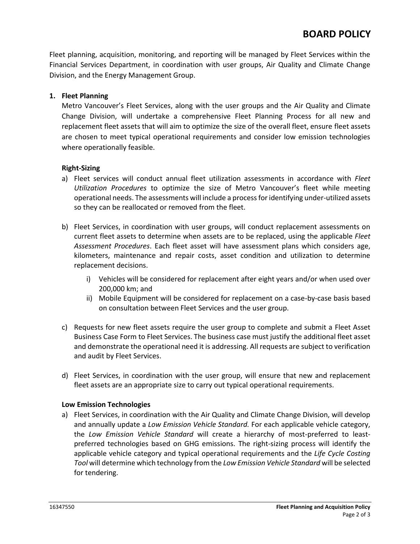Fleet planning, acquisition, monitoring, and reporting will be managed by Fleet Services within the Financial Services Department, in coordination with user groups, Air Quality and Climate Change Division, and the Energy Management Group.

# **1. Fleet Planning**

Metro Vancouver's Fleet Services, along with the user groups and the Air Quality and Climate Change Division, will undertake a comprehensive Fleet Planning Process for all new and replacement fleet assets that will aim to optimize the size of the overall fleet, ensure fleet assets are chosen to meet typical operational requirements and consider low emission technologies where operationally feasible.

# **Right-Sizing**

- a) Fleet services will conduct annual fleet utilization assessments in accordance with *Fleet Utilization Procedures* to optimize the size of Metro Vancouver's fleet while meeting operational needs. The assessments will include a process for identifying under-utilized assets so they can be reallocated or removed from the fleet.
- b) Fleet Services, in coordination with user groups, will conduct replacement assessments on current fleet assets to determine when assets are to be replaced, using the applicable *Fleet Assessment Procedures*. Each fleet asset will have assessment plans which considers age, kilometers, maintenance and repair costs, asset condition and utilization to determine replacement decisions.
	- i) Vehicles will be considered for replacement after eight years and/or when used over 200,000 km; and
	- ii) Mobile Equipment will be considered for replacement on a case-by-case basis based on consultation between Fleet Services and the user group.
- c) Requests for new fleet assets require the user group to complete and submit a Fleet Asset Business Case Form to Fleet Services. The business case must justify the additional fleet asset and demonstrate the operational need it is addressing. All requests are subject to verification and audit by Fleet Services.
- d) Fleet Services, in coordination with the user group, will ensure that new and replacement fleet assets are an appropriate size to carry out typical operational requirements.

## **Low Emission Technologies**

a) Fleet Services, in coordination with the Air Quality and Climate Change Division, will develop and annually update a *Low Emission Vehicle Standard.* For each applicable vehicle category, the *Low Emission Vehicle Standard* will create a hierarchy of most-preferred to leastpreferred technologies based on GHG emissions. The right-sizing process will identify the applicable vehicle category and typical operational requirements and the *Life Cycle Costing Tool* will determine which technology from the *Low Emission Vehicle Standard* will be selected for tendering.